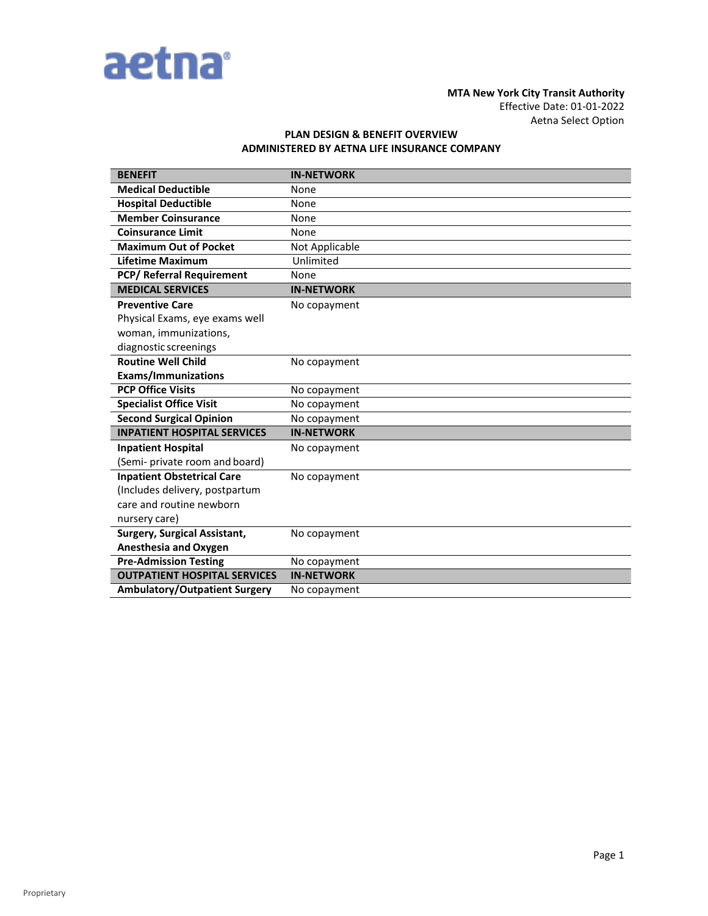

## **MTA New York City Transit Authority**  Effective Date: 01-01-2022 Aetna Select Option

# **PLAN DESIGN & BENEFIT OVERVIEW ADMINISTERED BY AETNA LIFE INSURANCE COMPANY**

| <b>BENEFIT</b>                       | <b>IN-NETWORK</b> |
|--------------------------------------|-------------------|
| <b>Medical Deductible</b>            | None              |
| <b>Hospital Deductible</b>           | None              |
| <b>Member Coinsurance</b>            | None              |
| <b>Coinsurance Limit</b>             | None              |
| <b>Maximum Out of Pocket</b>         | Not Applicable    |
| <b>Lifetime Maximum</b>              | Unlimited         |
| <b>PCP/ Referral Requirement</b>     | None              |
| <b>MEDICAL SERVICES</b>              | <b>IN-NETWORK</b> |
| <b>Preventive Care</b>               | No copayment      |
| Physical Exams, eye exams well       |                   |
| woman, immunizations,                |                   |
| diagnostic screenings                |                   |
| <b>Routine Well Child</b>            | No copayment      |
| <b>Exams/Immunizations</b>           |                   |
| <b>PCP Office Visits</b>             | No copayment      |
| <b>Specialist Office Visit</b>       | No copayment      |
| <b>Second Surgical Opinion</b>       | No copayment      |
| <b>INPATIENT HOSPITAL SERVICES</b>   | <b>IN-NETWORK</b> |
| <b>Inpatient Hospital</b>            | No copayment      |
| (Semi- private room and board)       |                   |
| <b>Inpatient Obstetrical Care</b>    | No copayment      |
| (Includes delivery, postpartum       |                   |
| care and routine newborn             |                   |
| nursery care)                        |                   |
| Surgery, Surgical Assistant,         | No copayment      |
| <b>Anesthesia and Oxygen</b>         |                   |
| <b>Pre-Admission Testing</b>         | No copayment      |
| <b>OUTPATIENT HOSPITAL SERVICES</b>  | <b>IN-NETWORK</b> |
| <b>Ambulatory/Outpatient Surgery</b> | No copayment      |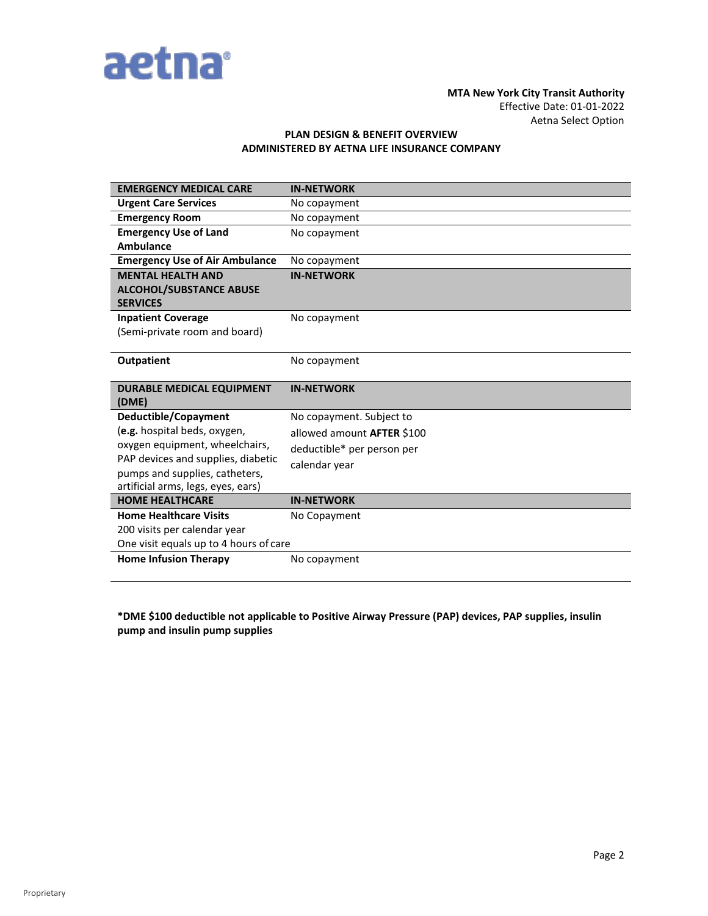

### **MTA New York City Transit Authority**  Effective Date: 01-01-2022 Aetna Select Option

# **PLAN DESIGN & BENEFIT OVERVIEW ADMINISTERED BY AETNA LIFE INSURANCE COMPANY**

| <b>EMERGENCY MEDICAL CARE</b>          | <b>IN-NETWORK</b>                 |
|----------------------------------------|-----------------------------------|
| <b>Urgent Care Services</b>            | No copayment                      |
| <b>Emergency Room</b>                  | No copayment                      |
| <b>Emergency Use of Land</b>           | No copayment                      |
| <b>Ambulance</b>                       |                                   |
| <b>Emergency Use of Air Ambulance</b>  | No copayment                      |
| <b>MENTAL HEALTH AND</b>               | <b>IN-NETWORK</b>                 |
| <b>ALCOHOL/SUBSTANCE ABUSE</b>         |                                   |
| <b>SERVICES</b>                        |                                   |
| <b>Inpatient Coverage</b>              | No copayment                      |
| (Semi-private room and board)          |                                   |
|                                        |                                   |
| <b>Outpatient</b>                      | No copayment                      |
|                                        |                                   |
|                                        |                                   |
| <b>DURABLE MEDICAL EQUIPMENT</b>       | <b>IN-NETWORK</b>                 |
| (DME)                                  |                                   |
| Deductible/Copayment                   | No copayment. Subject to          |
| (e.g. hospital beds, oxygen,           | allowed amount <b>AFTER</b> \$100 |
| oxygen equipment, wheelchairs,         | deductible* per person per        |
| PAP devices and supplies, diabetic     |                                   |
| pumps and supplies, catheters,         | calendar year                     |
| artificial arms, legs, eyes, ears)     |                                   |
| <b>HOME HEALTHCARE</b>                 | <b>IN-NETWORK</b>                 |
| <b>Home Healthcare Visits</b>          | No Copayment                      |
| 200 visits per calendar year           |                                   |
| One visit equals up to 4 hours of care |                                   |
| <b>Home Infusion Therapy</b>           | No copayment                      |

**\*DME \$100 deductible not applicable to Positive Airway Pressure (PAP) devices, PAP supplies, insulin pump and insulin pump supplies**